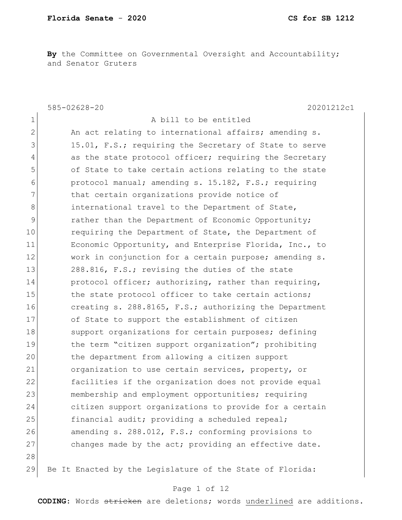**By** the Committee on Governmental Oversight and Accountability; and Senator Gruters

585-02628-20 20201212c1 1 a bill to be entitled 2 An act relating to international affairs; amending s. 3 15.01, F.S.; requiring the Secretary of State to serve 4 as the state protocol officer; requiring the Secretary 5 of State to take certain actions relating to the state 6 protocol manual; amending s. 15.182, F.S.; requiring 7 That certain organizations provide notice of 8 **international travel to the Department of State,** 9 **19** rather than the Department of Economic Opportunity; 10 requiring the Department of State, the Department of 11 Economic Opportunity, and Enterprise Florida, Inc., to 12 work in conjunction for a certain purpose; amending s. 13 288.816, F.S.; revising the duties of the state 14 protocol officer; authorizing, rather than requiring, 15 the state protocol officer to take certain actions; 16 **creating s. 288.8165, F.S.; authorizing the Department** 17 of State to support the establishment of citizen 18 Support organizations for certain purposes; defining 19 the term "citizen support organization"; prohibiting 20 10 20 the department from allowing a citizen support 21 organization to use certain services, property, or 22 facilities if the organization does not provide equal 23 membership and employment opportunities; requiring 24 citizen support organizations to provide for a certain 25 financial audit; providing a scheduled repeal; 26 amending s. 288.012, F.S.; conforming provisions to 27 changes made by the act; providing an effective date. 28 29 Be It Enacted by the Legislature of the State of Florida:

## Page 1 of 12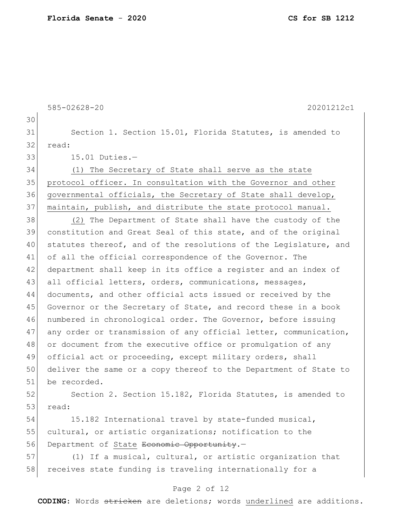30 31 Section 1. Section 15.01, Florida Statutes, is amended to 32 read: 33 15.01 Duties.-34 (1) The Secretary of State shall serve as the state 35 protocol officer. In consultation with the Governor and other

585-02628-20 20201212c1

36 governmental officials, the Secretary of State shall develop, 37 maintain, publish, and distribute the state protocol manual.

 (2) The Department of State shall have the custody of the constitution and Great Seal of this state, and of the original 40 statutes thereof, and of the resolutions of the Legislature, and 41 of all the official correspondence of the Governor. The department shall keep in its office a register and an index of all official letters, orders, communications, messages, 44 documents, and other official acts issued or received by the 45 Governor or the Secretary of State, and record these in a book numbered in chronological order. The Governor, before issuing 47 any order or transmission of any official letter, communication, or document from the executive office or promulgation of any official act or proceeding, except military orders, shall deliver the same or a copy thereof to the Department of State to be recorded.

52 Section 2. Section 15.182, Florida Statutes, is amended to 53 read:

54 15.182 International travel by state-funded musical, 55 cultural, or artistic organizations; notification to the 56 Department of State Economic Opportunity.-

57 (1) If a musical, cultural, or artistic organization that 58 receives state funding is traveling internationally for a

## Page 2 of 12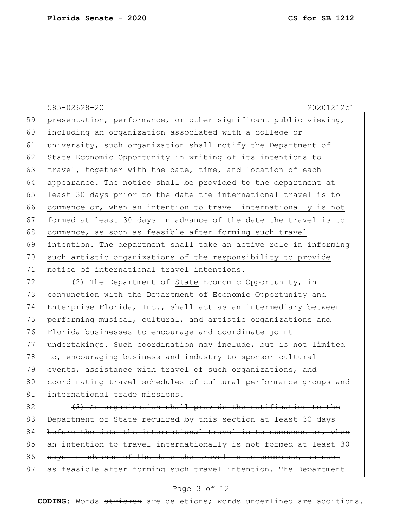585-02628-20 20201212c1 59 presentation, performance, or other significant public viewing, 60 including an organization associated with a college or 61 university, such organization shall notify the Department of 62 State <del>Economic Opportunity</del> in writing of its intentions to 63 travel, together with the date, time, and location of each 64 appearance. The notice shall be provided to the department at 65 least 30 days prior to the date the international travel is to 66 commence or, when an intention to travel internationally is not 67 formed at least 30 days in advance of the date the travel is to 68 commence, as soon as feasible after forming such travel 69 intention. The department shall take an active role in informing 70 such artistic organizations of the responsibility to provide 71 notice of international travel intentions.

 $72$  (2) The Department of State Economic Opportunity, in 73 conjunction with the Department of Economic Opportunity and 74 Enterprise Florida, Inc., shall act as an intermediary between 75 performing musical, cultural, and artistic organizations and 76 Florida businesses to encourage and coordinate joint 77 undertakings. Such coordination may include, but is not limited 78 to, encouraging business and industry to sponsor cultural 79 events, assistance with travel of such organizations, and 80 coordinating travel schedules of cultural performance groups and 81 international trade missions.

 $82$  (3) An organization shall provide the notification to the 83 Department of State required by this section at least 30 days 84 before the date the international travel is to commence or, when 85 an intention to travel internationally is not formed at least 30 86 days in advance of the date the travel is to commence, 87 as feasible after forming such travel intention. The Department

## Page 3 of 12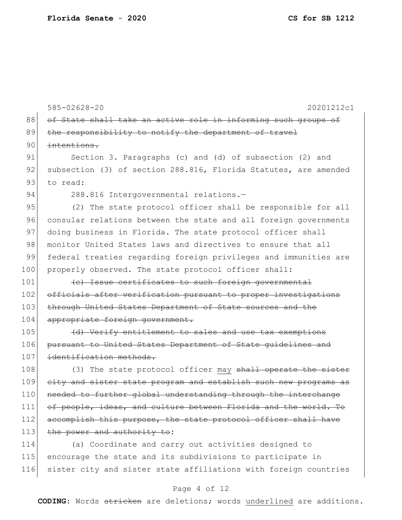585-02628-20 20201212c1 88 of State shall take an active role in informing such groups of 89 the responsibility to notify the department of travel 90 intentions. 91 Section 3. Paragraphs (c) and (d) of subsection (2) and 92 subsection (3) of section 288.816, Florida Statutes, are amended 93 to read: 94 288.816 Intergovernmental relations.-95 (2) The state protocol officer shall be responsible for all 96 consular relations between the state and all foreign governments 97 doing business in Florida. The state protocol officer shall 98 | monitor United States laws and directives to ensure that all 99 federal treaties regarding foreign privileges and immunities are 100 properly observed. The state protocol officer shall:  $101$  (c) Issue certificates to such foreign governmental 102 officials after verification pursuant to proper investigations 103 through United States Department of State sources and the 104 appropriate foreign government. 105 (d) Verify entitlement to sales and use tax exemptions 106 pursuant to United States Department of State guidelines and 107 identification methods. 108 (3) The state protocol officer may shall operate the sister 109 city and sister state program and establish such new programs as 110 needed to further global understanding through the interchange 111 of people, ideas, and culture between Florida and the world. To 112 accomplish this purpose, the state protocol officer shall have 113 the power and authority to: 114 (a) Coordinate and carry out activities designed to 115 encourage the state and its subdivisions to participate in 116 sister city and sister state affiliations with foreign countries

## Page 4 of 12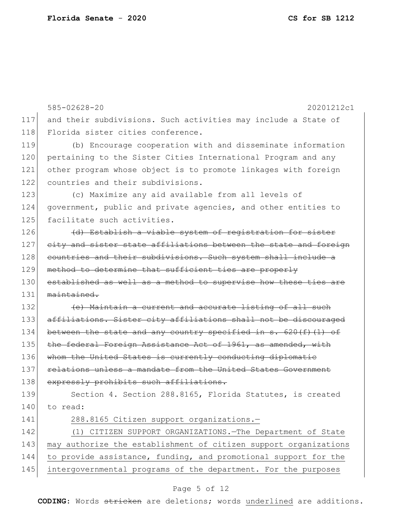|     | $585 - 02628 - 20$<br>20201212c1                                 |
|-----|------------------------------------------------------------------|
| 117 | and their subdivisions. Such activities may include a State of   |
| 118 | Florida sister cities conference.                                |
| 119 | (b) Encourage cooperation with and disseminate information       |
| 120 | pertaining to the Sister Cities International Program and any    |
| 121 | other program whose object is to promote linkages with foreign   |
| 122 | countries and their subdivisions.                                |
| 123 | (c) Maximize any aid available from all levels of                |
| 124 | government, public and private agencies, and other entities to   |
| 125 | facilitate such activities.                                      |
| 126 | (d) Establish a viable system of registration for sister         |
| 127 | city and sister state affiliations between the state and foreign |
| 128 | countries and their subdivisions. Such system shall include a    |
| 129 | method to determine that sufficient ties are properly            |
| 130 | established as well as a method to supervise how these ties are  |
| 131 | $mainright$                                                      |
| 132 | (e) Maintain a current and accurate listing of all such          |
| 133 | affiliations. Sister city affiliations shall not be discouraged  |
| 134 | between the state and any country specified in s. 620 (f) (1) of |
| 135 | the federal Foreign Assistance Act of 1961, as amended, with     |
| 136 | whom the United States is currently conducting diplomatic        |
| 137 | relations unless a mandate from the United States Government     |
| 138 | expressly prohibits such affiliations.                           |
| 139 | Section 4. Section 288.8165, Florida Statutes, is created        |
| 140 | to read:                                                         |
| 141 | 288.8165 Citizen support organizations.-                         |
| 142 | (1) CITIZEN SUPPORT ORGANIZATIONS. The Department of State       |
| 143 | may authorize the establishment of citizen support organizations |
| 144 | to provide assistance, funding, and promotional support for the  |
| 145 | intergovernmental programs of the department. For the purposes   |

# Page 5 of 12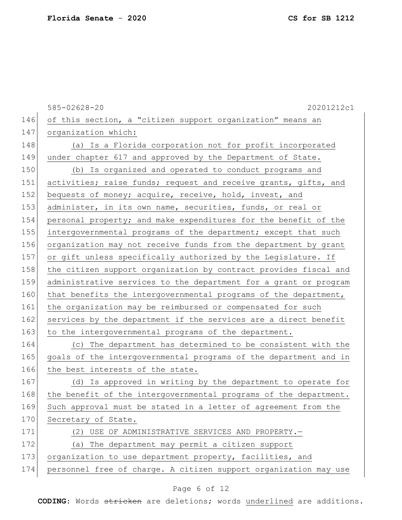|     | $585 - 02628 - 20$<br>20201212c1                                 |
|-----|------------------------------------------------------------------|
| 146 | of this section, a "citizen support organization" means an       |
| 147 | organization which:                                              |
| 148 | (a) Is a Florida corporation not for profit incorporated         |
| 149 | under chapter 617 and approved by the Department of State.       |
| 150 | (b) Is organized and operated to conduct programs and            |
| 151 | activities; raise funds; request and receive grants, gifts, and  |
| 152 | bequests of money; acquire, receive, hold, invest, and           |
| 153 | administer, in its own name, securities, funds, or real or       |
| 154 | personal property; and make expenditures for the benefit of the  |
| 155 | intergovernmental programs of the department; except that such   |
| 156 | organization may not receive funds from the department by grant  |
| 157 | or gift unless specifically authorized by the Legislature. If    |
| 158 | the citizen support organization by contract provides fiscal and |
| 159 | administrative services to the department for a grant or program |
| 160 | that benefits the intergovernmental programs of the department,  |
| 161 | the organization may be reimbursed or compensated for such       |
| 162 | services by the department if the services are a direct benefit  |
| 163 | to the intergovernmental programs of the department.             |
| 164 | (c) The department has determined to be consistent with the      |
| 165 | goals of the intergovernmental programs of the department and in |
| 166 | the best interests of the state.                                 |
| 167 | (d) Is approved in writing by the department to operate for      |
| 168 | the benefit of the intergovernmental programs of the department. |
| 169 | Such approval must be stated in a letter of agreement from the   |
| 170 | Secretary of State.                                              |
| 171 | (2) USE OF ADMINISTRATIVE SERVICES AND PROPERTY.-                |
| 172 | (a) The department may permit a citizen support                  |
| 173 | organization to use department property, facilities, and         |
| 174 | personnel free of charge. A citizen support organization may use |

# Page 6 of 12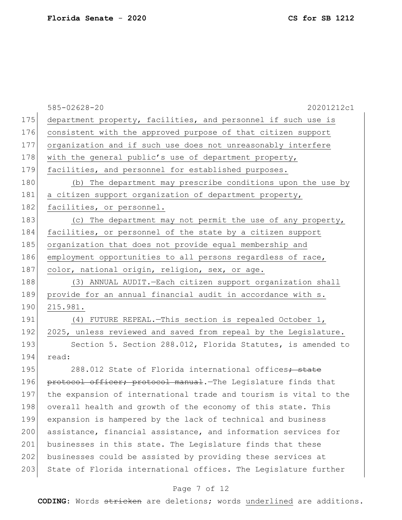|     | $585 - 02628 - 20$<br>20201212c1                                  |
|-----|-------------------------------------------------------------------|
| 175 | department property, facilities, and personnel if such use is     |
| 176 | consistent with the approved purpose of that citizen support      |
| 177 | organization and if such use does not unreasonably interfere      |
| 178 | with the general public's use of department property,             |
| 179 | facilities, and personnel for established purposes.               |
| 180 | (b) The department may prescribe conditions upon the use by       |
| 181 | a citizen support organization of department property,            |
| 182 | facilities, or personnel.                                         |
| 183 | (c) The department may not permit the use of any property,        |
| 184 | facilities, or personnel of the state by a citizen support        |
| 185 | organization that does not provide equal membership and           |
| 186 | employment opportunities to all persons regardless of race,       |
| 187 | color, national origin, religion, sex, or age.                    |
| 188 | (3) ANNUAL AUDIT. - Each citizen support organization shall       |
| 189 | provide for an annual financial audit in accordance with s.       |
| 190 | 215.981.                                                          |
| 191 | (4) FUTURE REPEAL. - This section is repealed October 1,          |
| 192 | 2025, unless reviewed and saved from repeal by the Legislature.   |
| 193 | Section 5. Section 288.012, Florida Statutes, is amended to       |
| 194 | read:                                                             |
| 195 | 288.012 State of Florida international offices <del>; state</del> |
| 196 | protocol officer; protocol manual. The Legislature finds that     |
| 197 | the expansion of international trade and tourism is vital to the  |
| 198 | overall health and growth of the economy of this state. This      |
| 199 | expansion is hampered by the lack of technical and business       |
| 200 | assistance, financial assistance, and information services for    |
| 201 | businesses in this state. The Legislature finds that these        |
| 202 | businesses could be assisted by providing these services at       |
| 203 | State of Florida international offices. The Legislature further   |
|     |                                                                   |

# Page 7 of 12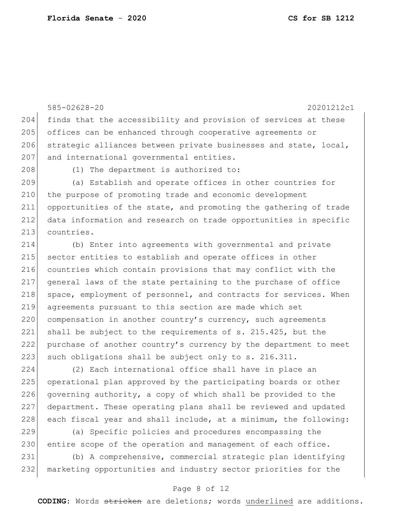585-02628-20 20201212c1 204 finds that the accessibility and provision of services at these 205 offices can be enhanced through cooperative agreements or 206 strategic alliances between private businesses and state, local, 207 and international governmental entities. 208 (1) The department is authorized to: 209 (a) Establish and operate offices in other countries for 210 the purpose of promoting trade and economic development 211 opportunities of the state, and promoting the gathering of trade 212 data information and research on trade opportunities in specific 213 countries. 214 (b) Enter into agreements with governmental and private 215 sector entities to establish and operate offices in other 216 countries which contain provisions that may conflict with the 217 general laws of the state pertaining to the purchase of office 218 space, employment of personnel, and contracts for services. When 219 agreements pursuant to this section are made which set 220 compensation in another country's currency, such agreements 221 shall be subject to the requirements of s. 215.425, but the 222 purchase of another country's currency by the department to meet 223 such obligations shall be subject only to s. 216.311. 224 (2) Each international office shall have in place an

225 operational plan approved by the participating boards or other 226 governing authority, a copy of which shall be provided to the 227 department. These operating plans shall be reviewed and updated  $228$  each fiscal year and shall include, at a minimum, the following:

229 (a) Specific policies and procedures encompassing the 230 entire scope of the operation and management of each office.

231 (b) A comprehensive, commercial strategic plan identifying 232 marketing opportunities and industry sector priorities for the

## Page 8 of 12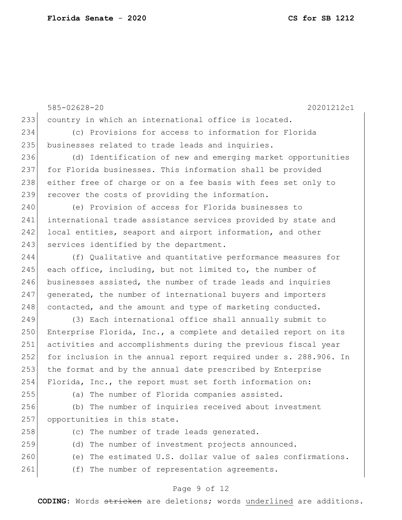585-02628-20 20201212c1 233 country in which an international office is located. 234 (c) Provisions for access to information for Florida 235 businesses related to trade leads and inquiries. 236 (d) Identification of new and emerging market opportunities 237 for Florida businesses. This information shall be provided 238 either free of charge or on a fee basis with fees set only to 239 recover the costs of providing the information. 240 (e) Provision of access for Florida businesses to 241 international trade assistance services provided by state and 242 local entities, seaport and airport information, and other 243 services identified by the department. 244 (f) Qualitative and quantitative performance measures for 245 each office, including, but not limited to, the number of 246 businesses assisted, the number of trade leads and inquiries 247 generated, the number of international buyers and importers 248 contacted, and the amount and type of marketing conducted. 249 (3) Each international office shall annually submit to 250 Enterprise Florida, Inc., a complete and detailed report on its 251 activities and accomplishments during the previous fiscal year 252 for inclusion in the annual report required under s. 288.906. In 253 the format and by the annual date prescribed by Enterprise 254 Florida, Inc., the report must set forth information on: 255 (a) The number of Florida companies assisted. 256 (b) The number of inquiries received about investment 257 opportunities in this state. 258 (c) The number of trade leads generated. 259 (d) The number of investment projects announced. 260 (e) The estimated U.S. dollar value of sales confirmations. 261 (f) The number of representation agreements.

## Page 9 of 12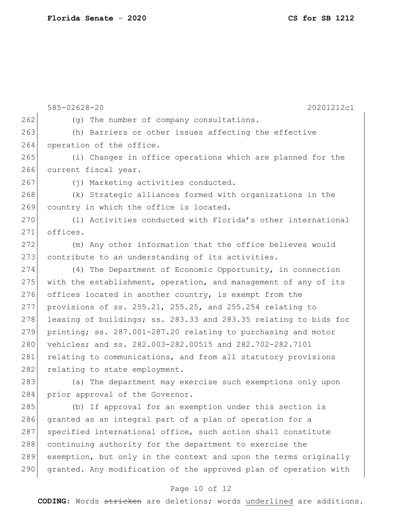Page 10 of 12 262 (g) The number of company consultations. 263 (h) Barriers or other issues affecting the effective 264 operation of the office. 265 (i) Changes in office operations which are planned for the 266 current fiscal year. 267 (j) Marketing activities conducted. 268 (k) Strategic alliances formed with organizations in the 269 country in which the office is located. 270 (1) Activities conducted with Florida's other international 271 offices. 272 (m) Any other information that the office believes would 273 contribute to an understanding of its activities. 274 (4) The Department of Economic Opportunity, in connection 275 with the establishment, operation, and management of any of its 276 offices located in another country, is exempt from the 277 provisions of ss. 255.21, 255.25, and 255.254 relating to 278 leasing of buildings; ss. 283.33 and 283.35 relating to bids for 279 printing; ss. 287.001-287.20 relating to purchasing and motor 280 vehicles; and ss. 282.003-282.00515 and 282.702-282.7101 281 relating to communications, and from all statutory provisions 282 relating to state employment. 283 (a) The department may exercise such exemptions only upon 284 prior approval of the Governor. 285 (b) If approval for an exemption under this section is 286 granted as an integral part of a plan of operation for a 287 specified international office, such action shall constitute 288 continuing authority for the department to exercise the 289 exemption, but only in the context and upon the terms originally 290 granted. Any modification of the approved plan of operation with

585-02628-20 20201212c1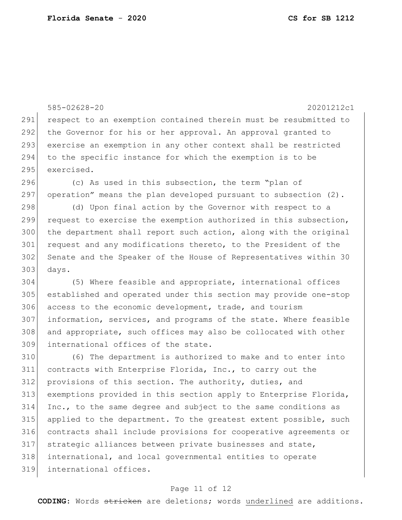```
585-02628-20 20201212c1
291 respect to an exemption contained therein must be resubmitted to
292 the Governor for his or her approval. An approval granted to 
293 exercise an exemption in any other context shall be restricted
294 to the specific instance for which the exemption is to be 
295 exercised.
296 (c) As used in this subsection, the term "plan of
297 operation" means the plan developed pursuant to subsection (2).
298 (d) Upon final action by the Governor with respect to a
299 request to exercise the exemption authorized in this subsection,
300 the department shall report such action, along with the original 
301 request and any modifications thereto, to the President of the
302 Senate and the Speaker of the House of Representatives within 30 
303 days.
304 (5) Where feasible and appropriate, international offices 
305 established and operated under this section may provide one-stop 
306 access to the economic development, trade, and tourism
307 information, services, and programs of the state. Where feasible 
308 and appropriate, such offices may also be collocated with other
309 international offices of the state.
310 (6) The department is authorized to make and to enter into 
311 contracts with Enterprise Florida, Inc., to carry out the 
312 provisions of this section. The authority, duties, and
313 exemptions provided in this section apply to Enterprise Florida, 
314 Inc., to the same degree and subject to the same conditions as 
315 applied to the department. To the greatest extent possible, such 
316 contracts shall include provisions for cooperative agreements or 
317 strategic alliances between private businesses and state, 
318 international, and local governmental entities to operate 
319 international offices.
```
## Page 11 of 12